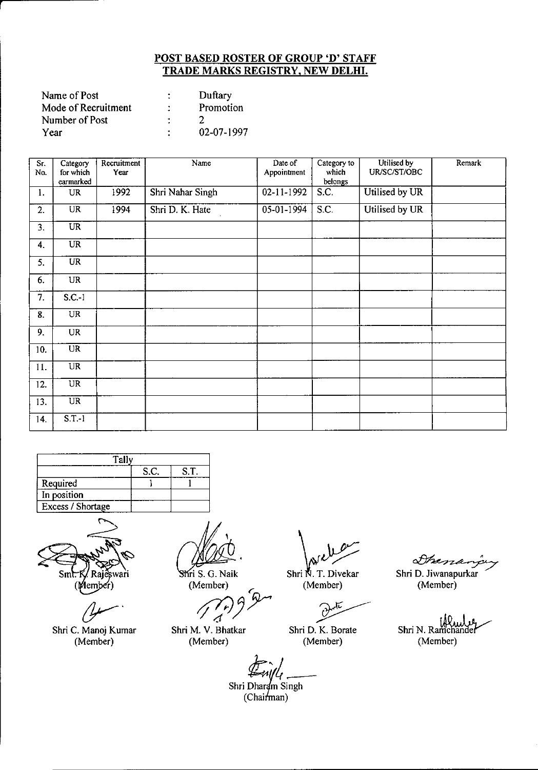| Name of Post        |   | Duftary    |
|---------------------|---|------------|
| Mode of Recruitment | ٠ | Promotion  |
| Number of Post      |   |            |
| Year                |   | 02-07-1997 |

| Sr.<br>No. | Category<br>for which<br>earmarked | Recruitment<br>Year | Name             | Date of<br>Appointment | Category to<br>which<br>belongs | Utilised by<br>UR/SC/ST/OBC | Remark |
|------------|------------------------------------|---------------------|------------------|------------------------|---------------------------------|-----------------------------|--------|
| 1.         | <b>UR</b>                          | 1992                | Shri Nahar Singh | 02-11-1992             | S.C.                            | Utilised by UR              |        |
| 2.         | <b>UR</b>                          | 1994                | Shri D. K. Hate  | 05-01-1994             | S.C.                            | Utilised by UR              |        |
| 3.         | $\overline{\text{UR}}$             |                     |                  |                        |                                 |                             |        |
| 4.         | <b>UR</b>                          |                     |                  |                        |                                 |                             |        |
| 5.         | $\overline{\text{UR}}$             |                     |                  |                        |                                 |                             |        |
| 6.         | <b>UR</b>                          |                     |                  |                        |                                 |                             |        |
| 7.         | $S.C.-1$                           |                     |                  |                        |                                 |                             |        |
| 8.         | UR                                 |                     |                  |                        |                                 |                             |        |
| 9.         | <b>UR</b>                          |                     |                  |                        |                                 |                             |        |
| 10.        | $\overline{\text{UR}}$             |                     |                  |                        |                                 |                             |        |
| 11.        | <b>UR</b>                          |                     |                  |                        |                                 |                             |        |
| 12.        | $\overline{UR}$                    |                     |                  |                        |                                 |                             |        |
| 13.        | $\overline{\text{UR}}$             |                     |                  |                        |                                 |                             |        |
| 14.        | $S.T.-1$                           |                     |                  |                        |                                 |                             |        |

| Tal               |      |      |  |  |  |
|-------------------|------|------|--|--|--|
|                   | S.C. | S.T. |  |  |  |
| Required          |      |      |  |  |  |
| In position       |      |      |  |  |  |
| Excess / Shortage |      |      |  |  |  |

Raj Smt. €swari (Member)

 $\sigma$ Shri C. Manoj Kumar

(Member)

Shri S. G. Naik (Member)

*;p;J)Y*

4 Shri M. V. Bhatkar

(Member)

Shri N. T. Divekar

(Member)

~-

Shri D. K. Borate (Member)

Shen

Shri D. Jiwanapurkar (Member)

Shri N. Ramchande (Member)

*1t;,{*

Shri Dharam Singh  $(Chain'$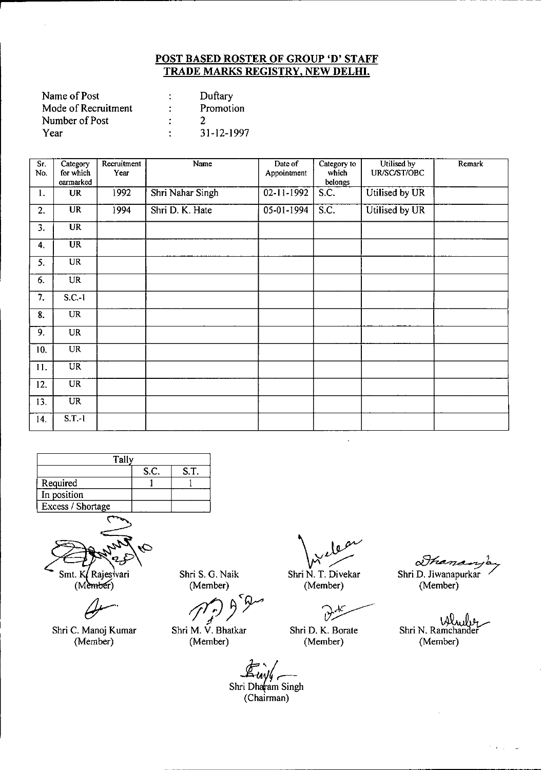| Name of Post        |   | Duftary    |
|---------------------|---|------------|
| Mode of Recruitment | ÷ | Promotion  |
| Number of Post      |   |            |
| Year                |   | 31-12-1997 |

| Sr. | Category               | Recruitment | <b>Name</b>      | Date of          | Category to      | Utilised by    | Remark |
|-----|------------------------|-------------|------------------|------------------|------------------|----------------|--------|
| No. | for which<br>earmarked | Year        |                  | Appointment      | which<br>belongs | UR/SC/ST/OBC   |        |
| 1.  | <b>UR</b>              | 1992        | Shri Nahar Singh | $02 - 11 - 1992$ | S.C.             | Utilised by UR |        |
| 2.  | <b>UR</b>              | 1994        | Shri D. K. Hate  | 05-01-1994       | S.C.             | Utilised by UR |        |
| 3.  | <b>UR</b>              |             |                  |                  |                  |                |        |
| 4.  | <b>UR</b>              |             |                  |                  |                  |                |        |
| 5.  | <b>UR</b>              |             |                  |                  |                  |                |        |
| 6.  | <b>UR</b>              |             |                  |                  |                  |                |        |
| 7.  | $S.C.-1$               |             |                  |                  |                  |                |        |
| 8.  | <b>UR</b>              |             |                  |                  |                  |                |        |
| 9.  | <b>UR</b>              |             |                  |                  |                  |                |        |
| 10. | <b>UR</b>              |             |                  |                  |                  |                |        |
| 11. | <b>UR</b>              |             |                  |                  |                  |                |        |
| 12. | <b>UR</b>              |             |                  |                  |                  |                |        |
| 13. | <b>UR</b>              |             |                  |                  |                  |                |        |
| 14. | $S.T.-1$               |             |                  |                  |                  |                |        |





(Member)

 $\theta$ -'

Shri C. Manoj Kumar (Member)

Shri S. G. Naik (Member)

ri S. G. Naik<br>(Member)<br>*A*ref D

Shri M. V. Bhatkar (Member)

f) — V Shri N. T. Diveka

(Member)

Ď Shri D. K. Borate

(Member)

 $\alpha$ thand Shri D. Jiwanapurkar

(Member)

Shri N. Ramchander (Member)

÷.  $\sim$  $\overline{\phantom{a}}$ 

*.~.~lr-*Shrii;~am Singh

(Chairman)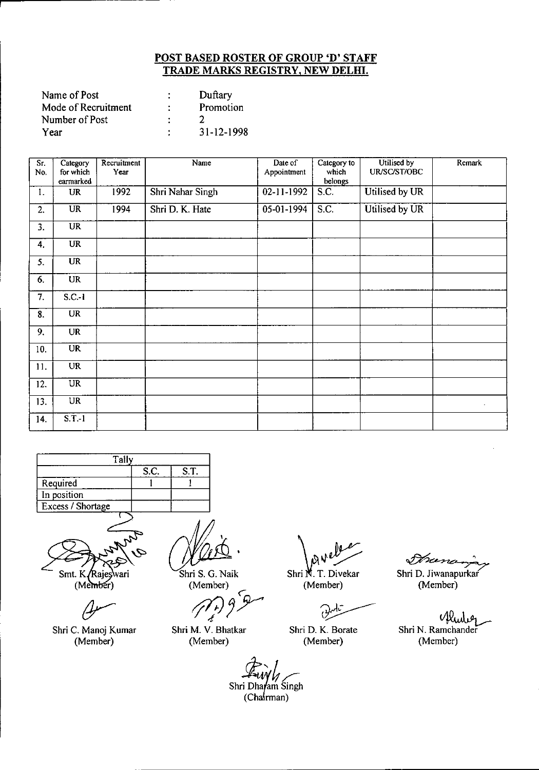| Name of Post        | Duftary    |
|---------------------|------------|
| Mode of Recruitment | Promotion  |
| Number of Post      |            |
| Year                | 31-12-1998 |

| $\overline{Sr.}$<br>No. | Category<br>for which<br>earmarked | Recruitment<br>Year | Name             | Date of<br>Appointment | Category to<br>which<br>belongs | Utilised by<br>UR/SC/ST/OBC | Remark |
|-------------------------|------------------------------------|---------------------|------------------|------------------------|---------------------------------|-----------------------------|--------|
| 1.                      | <b>UR</b>                          | 1992                | Shri Nahar Singh | 02-11-1992             | S.C.                            | Utilised by UR              |        |
| 2.                      | <b>UR</b>                          | 1994                | Shri D. K. Hate  | 05-01-1994             | S.C.                            | Utilised by UR              |        |
| 3.                      | $\overline{UR}$                    |                     |                  |                        |                                 |                             |        |
| 4.                      | <b>UR</b>                          |                     |                  |                        |                                 |                             |        |
| 5.                      | <b>UR</b>                          |                     |                  |                        |                                 |                             |        |
| 6.                      | UR                                 |                     |                  |                        |                                 |                             |        |
| 7.                      | $S.C.-1$                           |                     |                  |                        |                                 |                             |        |
| 8.                      | <b>UR</b>                          |                     |                  |                        |                                 |                             |        |
| 9.                      | <b>UR</b>                          |                     |                  |                        |                                 |                             |        |
| 10.                     | <b>UR</b>                          |                     |                  |                        |                                 |                             |        |
| 11.                     | <b>UR</b>                          |                     |                  |                        |                                 |                             |        |
| 12.                     | $\overline{UR}$                    |                     |                  |                        |                                 |                             |        |
| 13.                     | $\overline{\text{UR}}$             |                     |                  |                        |                                 |                             |        |
| 14.                     | $S.T.-1$                           |                     |                  |                        |                                 |                             |        |





(Member)

Ć

Shri C. Manoj Kumar (Member)

Shri S. G. Naik (Member)

Shri M. V. Bhatkar (Member)

Shri N. T. Divekar

(Member)

 $\partial$ Shri D. K. Borate

(Member)

Shri D. Jiwanapurka<br>Shri D. Jiwanapurka

(Member)

Mh Shri N. Ramchander (Member)

Shri Dhafam Singh

(Chairman)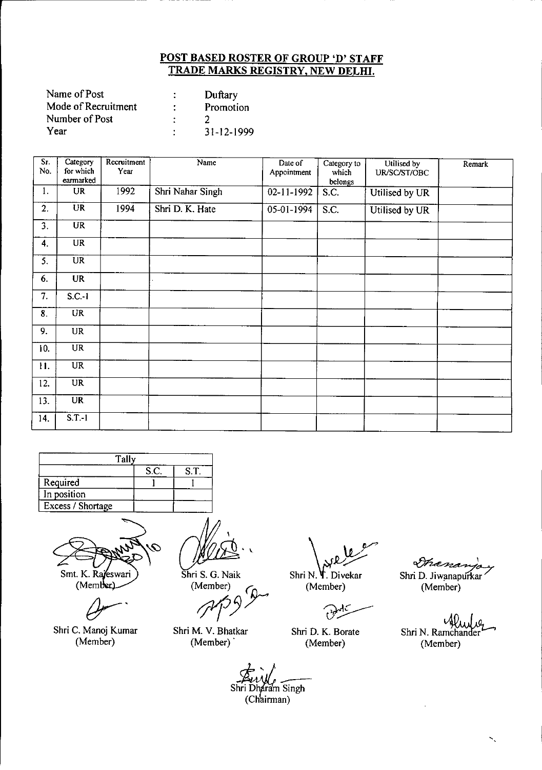| Name of Post        |   | Duftary    |
|---------------------|---|------------|
| Mode of Recruitment | ٠ | Promotion  |
| Number of Post      |   |            |
| Year                | ٠ | 31-12-1999 |

| Sr.<br>No. | Category<br>for which<br>earmarked | Recruitment<br>Year | Name             | Date of<br>Appointment | Category to<br>which<br>belongs | Utilised by<br>UR/SC/ST/OBC | Remark |
|------------|------------------------------------|---------------------|------------------|------------------------|---------------------------------|-----------------------------|--------|
| 1.         | <b>UR</b>                          | 1992                | Shri Nahar Singh | 02-11-1992             | S.C.                            | Utilised by UR              |        |
| 2.         | $\overline{\mathbf{UR}}$           | 1994                | Shri D. K. Hate  | 05-01-1994             | S.C.                            | Utilised by UR              |        |
| 3.         | $\overline{\text{UR}}$             |                     |                  |                        |                                 |                             |        |
| 4.         | <b>UR</b>                          |                     |                  |                        |                                 |                             |        |
| 5.         | $\overline{UR}$                    |                     |                  |                        |                                 |                             |        |
| 6.         | <b>UR</b>                          |                     |                  |                        |                                 |                             |        |
| 7.         | $S.C.-1$                           |                     |                  |                        |                                 |                             |        |
| 8.         | $\overline{\text{UR}}$             |                     |                  |                        |                                 |                             |        |
| 9.         | $\ensuremath{\text{UR}}\xspace$    |                     |                  |                        |                                 |                             |        |
| 10.        | $\overline{UR}$                    |                     |                  |                        |                                 |                             |        |
| 11.        | <b>UR</b>                          |                     |                  |                        |                                 |                             |        |
| 12.        | $\overline{\text{UR}}$             |                     |                  |                        |                                 |                             |        |
| 13.        | $\overline{\text{UR}}$             |                     |                  |                        |                                 |                             |        |
| 14.        | $S.T.-1$                           |                     |                  |                        |                                 |                             |        |



Q Smt. K. Rajeswari

(Member)

Shri C. Manoj Kumar

(Member)

 $\ddot{\phantom{0}}$ 

Shri S. G. Naik (Member)

*1f13*

Shri M. V. Bhatkar (Member)

 $\sqrt{\mathfrak{g}}$ Shri N. T. Divekar

(Member)

 $\widehat{v}$ 

Shri D. K. Borate (Member)

Shanas Shri D. Jiwanapurkar (Member)

Shri N. Ramchander (Member)

Shri Dharam Singh  $\frac{1}{2}$ (Chairman)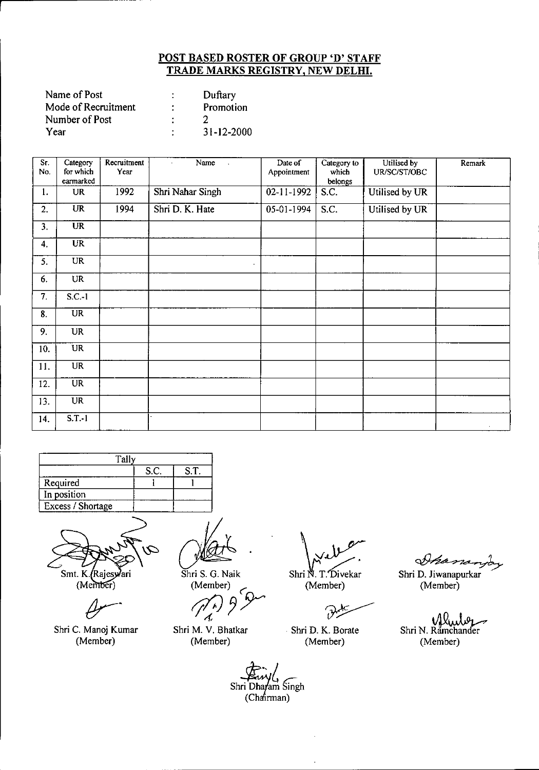| Name of Post        |   | Duftary    |
|---------------------|---|------------|
| Mode of Recruitment | ÷ | Promotion  |
| Number of Post      | ٠ |            |
| Year                | ٠ | 31-12-2000 |

| Sr.<br>No. | Category<br>for which<br>earmarked | Recruitment<br>Year | Name<br>$\bullet$<br>$\sim$ | Date of<br>Appointment | Category to<br>which<br>belongs | Utilised by<br>UR/SC/ST/OBC | Remark |
|------------|------------------------------------|---------------------|-----------------------------|------------------------|---------------------------------|-----------------------------|--------|
| 1.         | <b>UR</b>                          | 1992                | Shri Nahar Singh            | 02-11-1992             | <b>S.C.</b>                     | Utilised by UR              |        |
| 2.         | <b>UR</b>                          | 1994                | Shri D. K. Hate             | 05-01-1994             | S.C.                            | Utilised by UR              |        |
| 3.         | <b>UR</b>                          |                     |                             |                        |                                 |                             |        |
| 4.         | $\overline{\text{UR}}$             |                     |                             |                        |                                 |                             |        |
| 5.         | <b>UR</b>                          |                     | $\blacksquare$              |                        |                                 |                             |        |
| 6.         | <b>UR</b>                          |                     |                             |                        |                                 |                             |        |
| 7.         | $S.C.-1$                           |                     |                             |                        |                                 |                             |        |
| 8.         | <b>UR</b>                          |                     |                             |                        |                                 |                             |        |
| 9.         | <b>UR</b>                          |                     |                             |                        |                                 |                             |        |
| 10.        | <b>UR</b>                          |                     |                             |                        |                                 |                             |        |
| 11.        | <b>UR</b>                          |                     |                             |                        |                                 |                             |        |
| 12.        | $\overline{UR}$                    |                     |                             |                        |                                 |                             |        |
| 13.        | <b>UR</b>                          |                     |                             |                        |                                 |                             |        |
| 14.        | S.T. 1                             |                     |                             |                        |                                 |                             |        |

| Tally             |      |      |  |  |  |  |
|-------------------|------|------|--|--|--|--|
|                   | S.C. | S.T. |  |  |  |  |
| Required          |      |      |  |  |  |  |
| In position       |      |      |  |  |  |  |
| Excess / Shortage |      |      |  |  |  |  |
|                   |      |      |  |  |  |  |



(Member)

Shr; C. Manoj Kumar (Member)

Shri S. G. Naik (Member)

 $(\widehat{f'}_j)$ *rt aik*<br>9 D

Shri M. V. Bhatkar (Member)

 $\sqrt{\frac{1}{N}}$ Shri N. T. Divekar

(Member)

 $\partial z$ 

. Shri D. K. Borate (Member)

Ahanan

Shri D. Jiwanapurkar (Member)

Shri N. Ramchander (Member)

Shri Dhafam Singh  $(Cha'irman)$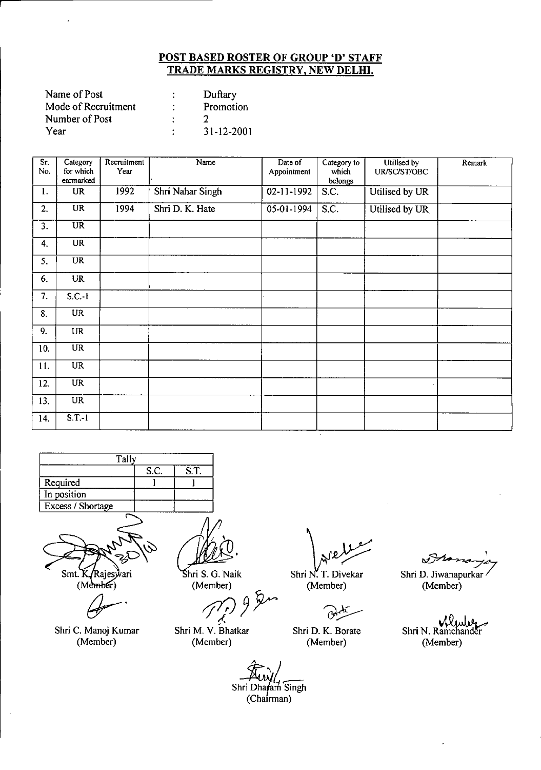| Name of Post        |   | Duftary          |
|---------------------|---|------------------|
| Mode of Recruitment | ٠ | Promotion        |
| Number of Post      |   |                  |
| Year                | ٠ | $31 - 12 - 2001$ |

| Sr.<br>No.       | Category<br>for which<br>earmarked | Recruitment<br>Year | Name             | Date of<br>Appointment | Category to<br>which<br>belongs | Utilised by<br>UR/SC/ST/OBC | Remark |
|------------------|------------------------------------|---------------------|------------------|------------------------|---------------------------------|-----------------------------|--------|
| 1.               | <b>UR</b>                          | 1992                | Shri Nahar Singh | 02-11-1992             | S.C.                            | Utilised by UR              |        |
| $\overline{2}$ . | <b>UR</b>                          | 1994                | Shri D. K. Hate  | 05-01-1994             | S.C.                            | Utilised by UR              |        |
| 3.               | <b>UR</b>                          |                     |                  |                        |                                 |                             |        |
| 4.               | <b>UR</b>                          |                     |                  |                        |                                 |                             |        |
| 5.               | <b>UR</b>                          |                     |                  |                        |                                 |                             |        |
| 6.               | <b>UR</b>                          |                     |                  |                        |                                 |                             |        |
| 7.               | $S.C.-1$                           |                     |                  |                        |                                 |                             |        |
| 8.               | $\overline{UR}$                    |                     |                  |                        |                                 |                             |        |
| 9.               | <b>UR</b>                          |                     |                  |                        |                                 |                             |        |
| 10.              | <b>UR</b>                          |                     |                  |                        |                                 |                             |        |
| 11.              | <b>UR</b>                          |                     |                  |                        |                                 |                             |        |
| 12.              | UR                                 |                     |                  |                        |                                 |                             |        |
| 13.              | UR                                 |                     |                  |                        |                                 |                             |        |
| 14.              | S.T.1                              |                     |                  |                        |                                 |                             |        |





Shri C. Manoj Kumar (Member)

 $\hat{\mathcal{A}}$ 

hri S. G. Naik (Member)

;fIJ *J~*  $\frac{1}{2}$ 

Shr; M. V. Bhatkar (Member)

Shri N. T. Divekar Shri D. J.<br>(Member) Shri D. J.

(Member)

 $\beta$ 

Shri D. K. Borate (Member)

 $\mathcal{A}$ 

Shri D. Jiwanapurkar (Member)

Shri N. Ramchander (Member)

Shri Dhafam Singh  $(Chafrman)$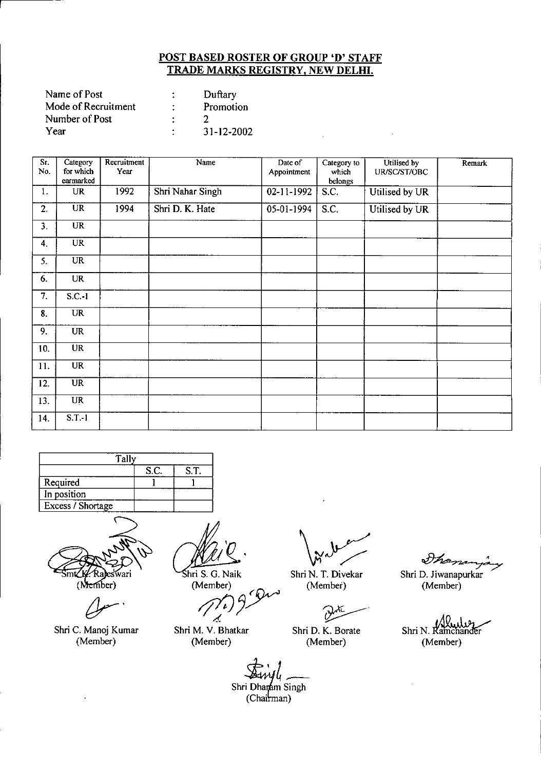| Name of Post        | ٠<br>٠ | Duftary    |
|---------------------|--------|------------|
| Mode of Recruitment | ÷      | Promotion  |
| Number of Post      | ٠      |            |
| Year                | ٠      | 31-12-2002 |

| Sr.<br>No. | Category<br>for which<br>earmarked | Recruitment<br>Year | Name             | Date of<br>Appointment | Category to<br>which<br>belongs | Utilised by<br>UR/SC/ST/OBC | Remark |
|------------|------------------------------------|---------------------|------------------|------------------------|---------------------------------|-----------------------------|--------|
| 1.         | <b>UR</b>                          | 1992                | Shri Nahar Singh | $02 - 11 - 1992$       | S.C.                            | Utilised by UR              |        |
| 2.         | $\overline{\text{UR}}$             | 1994                | Shri D. K. Hate  | 05-01-1994             | S.C.                            | Utilised by UR              |        |
| 3.         | $\overline{UR}$                    |                     |                  |                        |                                 |                             |        |
| 4.         | <b>UR</b>                          |                     |                  |                        |                                 |                             |        |
| 5.         | <b>UR</b>                          |                     |                  |                        |                                 |                             |        |
| 6.         | <b>UR</b>                          |                     |                  |                        |                                 |                             |        |
| 7.         | $S.C.-1$                           |                     |                  |                        |                                 |                             |        |
| 8.         | <b>UR</b>                          |                     |                  |                        |                                 |                             |        |
| 9.         | <b>UR</b>                          |                     |                  |                        |                                 |                             |        |
| 10.        | <b>UR</b>                          |                     |                  |                        |                                 |                             |        |
| 11.        | <b>UR</b>                          |                     |                  |                        |                                 |                             |        |
| 12.        | <b>UR</b>                          |                     |                  |                        |                                 |                             |        |
| 13.        | <b>UR</b>                          |                     |                  |                        |                                 |                             |        |
| 14.        | $S.T.-1$                           |                     |                  |                        |                                 |                             |        |





Shri C. Manoj Kumar (Member)

Shri S. G. Naik (Member)

S. G. Naik<br>Member)<br> $\pi$ <br> $\pi$   $\pi$   $\pi$   $\pi$ d

Shri M. V. Bhatkar (Member)

Shri N. T. Divekar (Member)

 $\partial$ Shri D. K. Borate

(Member)

Shan

Shri D. Jiwanapurkar (Member)

Shri N. Kamchander (Member)

a<br>
i Dharam Si<br>
(Chairman) L-Shri Dha Singh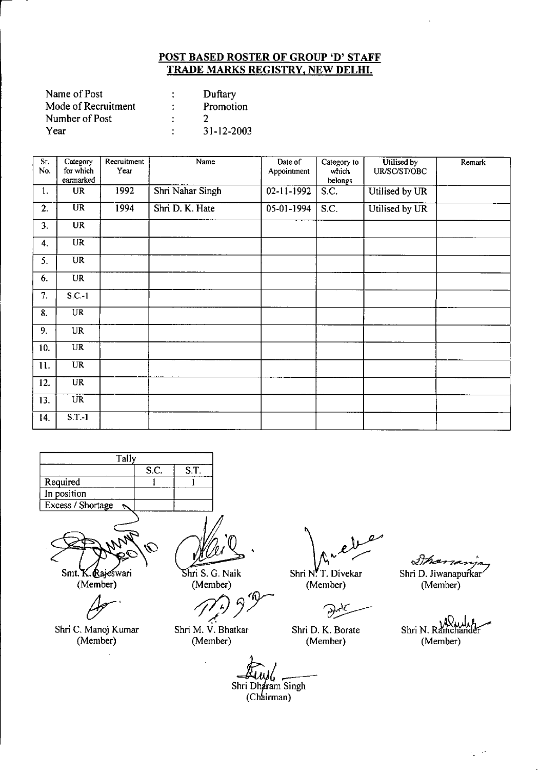| Name of Post        |   | Duftary    |
|---------------------|---|------------|
| Mode of Recruitment |   | Promotion  |
| Number of Post      |   |            |
| Year                | ٠ | 31-12-2003 |

| Sr.<br>No. | Category<br>for which<br>earmarked | Recruitment<br>Year | Name             | Date of<br>Appointment   | Category to<br>which<br>belongs | Utilised by<br>UR/SC/ST/OBC | Remark |
|------------|------------------------------------|---------------------|------------------|--------------------------|---------------------------------|-----------------------------|--------|
| 1.         | <b>UR</b>                          | 1992                | Shri Nahar Singh | $02 - 11 - 1992$         | $\overline{S.C.}$               | Utilised by UR              |        |
| 2.         | $\overline{\text{UR}}$             | 1994                | Shri D. K. Hate  | $\overline{05-01}$ -1994 | S.C.                            | Utilised by UR              |        |
| 3.         | <b>UR</b>                          |                     |                  |                          |                                 |                             |        |
| 4.         | <b>UR</b>                          |                     |                  |                          |                                 |                             |        |
| 5.         | <b>UR</b>                          |                     |                  |                          |                                 |                             |        |
| 6.         | <b>UR</b>                          |                     |                  |                          |                                 |                             |        |
| 7.         | $S.C.-1$                           |                     |                  |                          |                                 |                             |        |
| 8.         | $\overline{UR}$                    |                     |                  |                          |                                 |                             |        |
| 9.         | <b>UR</b>                          |                     |                  |                          |                                 |                             |        |
| 10.        | <b>UR</b>                          |                     |                  |                          |                                 |                             |        |
| 11.        | <b>UR</b>                          |                     |                  |                          |                                 |                             |        |
| 12.        | <b>UR</b>                          |                     |                  |                          |                                 |                             |        |
| 13.        | <b>UR</b>                          |                     |                  |                          |                                 |                             |        |
| 14.        | S.T.1                              |                     |                  |                          |                                 |                             |        |





(Member)

*cJr'*

Shri C. Manoj Kumar (Member)

 $\ddot{\phantom{a}}$ 

hri S. G. Naik (Member)

Shri M. V. Bhatkar (Member)

J.

Shri N. T. Divekar<br>(Member) Shri D. Jiwanapurkar<br>(Member) (Member)  $\overline{a}$ 

(Member)

 $\widehat{v}$ 

Shri D. K. Borate (Member)

Shri N. Ramchander (Member)

 $\frac{1}{2}$  ,  $\frac{1}{2}$ 

*a*<br>Shri Dharam Singh<br>
(Chairman) (Chairman)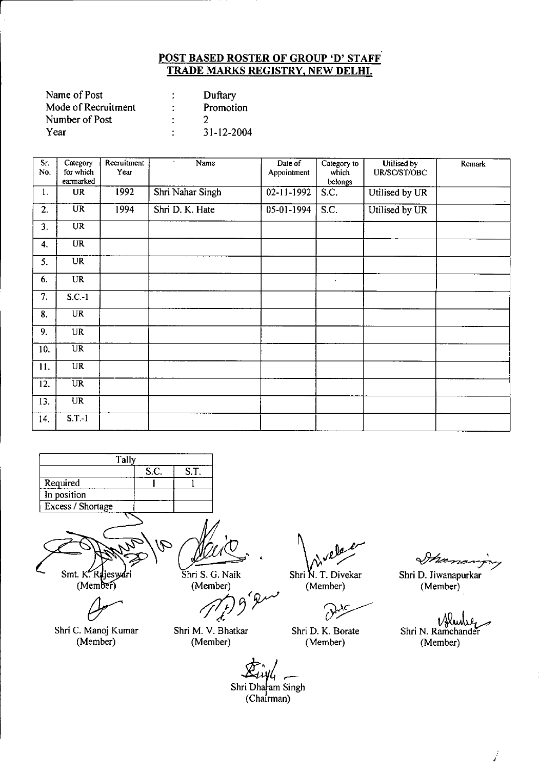| Name of Post        |   | Duftary    |
|---------------------|---|------------|
| Mode of Recruitment | ٠ | Promotion  |
| Number of Post      |   |            |
| Year                | ٠ | 31-12-2004 |

| Sr.<br>No. | Category<br>for which<br>earmarked | Recruitment<br>Year | Name<br>$\bullet$ | Date of<br>Appointment | Category to<br>which<br>belongs | Utilised by<br>UR/SC/ST/OBC | Remark |
|------------|------------------------------------|---------------------|-------------------|------------------------|---------------------------------|-----------------------------|--------|
| 1.         | <b>UR</b>                          | 1992                | Shri Nahar Singh  | $02 - 11 - 1992$       | S.C.                            | Utilised by UR              |        |
| 2.         | $\overline{\text{UR}}$             | 1994                | Shri D. K. Hate   | $05-01-1994$           | S.C.                            | Utilised by UR              |        |
| 3.         | UR                                 |                     |                   |                        |                                 |                             |        |
| 4.         | <b>UR</b>                          |                     |                   |                        |                                 |                             |        |
| 5.         | UR                                 |                     |                   |                        |                                 |                             |        |
| 6.         | <b>UR</b>                          |                     |                   |                        | $\ddot{\phantom{a}}$            |                             |        |
| 7.         | S.C.1                              |                     |                   |                        |                                 |                             |        |
| 8.         | <b>UR</b>                          |                     |                   |                        |                                 |                             |        |
| 9.         | <b>UR</b>                          |                     |                   |                        |                                 |                             |        |
| 10.        | $\overline{UR}$                    |                     |                   |                        |                                 |                             |        |
| 11.        | <b>UR</b>                          |                     |                   |                        |                                 |                             |        |
| 12.        | $\overline{UR}$                    |                     |                   |                        |                                 |                             |        |
| 13.        | <b>UR</b>                          |                     |                   |                        |                                 |                             |        |
| 14.        | $S.T-1$                            |                     |                   |                        |                                 |                             |        |



 $\mathcal{P}$ 

Smt. K. Rajeswari<br>(Member)

Shri C. Manoj Kumar (Member)

Shri S. G. Naik

(Member)

Shri M. V. Bhatkar (Member)

Shri N. T. Divekar (Member)

 $\mathcal{O}$ 

Shri D. K. Borate (Member)

Inconana

Shri D. Jiwanapurkar (Member)

V¥ Shri N. Ramchander (Member)

j.

*Zj~/i \_\_* Shri Dharam Singh

(Chairman)